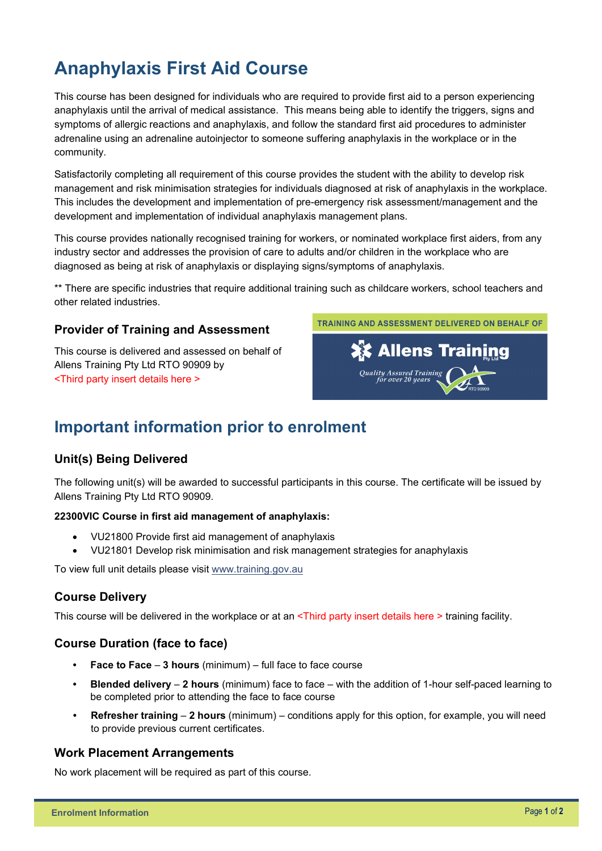# **Anaphylaxis First Aid Course**

This course has been designed for individuals who are required to provide first aid to a person experiencing anaphylaxis until the arrival of medical assistance. This means being able to identify the triggers, signs and symptoms of allergic reactions and anaphylaxis, and follow the standard first aid procedures to administer adrenaline using an adrenaline autoinjector to someone suffering anaphylaxis in the workplace or in the community.

Satisfactorily completing all requirement of this course provides the student with the ability to develop risk management and risk minimisation strategies for individuals diagnosed at risk of anaphylaxis in the workplace. This includes the development and implementation of pre-emergency risk assessment/management and the development and implementation of individual anaphylaxis management plans.

This course provides nationally recognised training for workers, or nominated workplace first aiders, from any industry sector and addresses the provision of care to adults and/or children in the workplace who are diagnosed as being at risk of anaphylaxis or displaying signs/symptoms of anaphylaxis.

\*\* There are specific industries that require additional training such as childcare workers, school teachers and other related industries.

### **Provider of Training and Assessment**

This course is delivered and assessed on behalf of Allens Training Pty Ltd RTO 90909 by <Third party insert details here >



## **Important information prior to enrolment**

#### **Unit(s) Being Delivered**

The following unit(s) will be awarded to successful participants in this course. The certificate will be issued by Allens Training Pty Ltd RTO 90909.

#### **22300VIC Course in first aid management of anaphylaxis:**

- VU21800 Provide first aid management of anaphylaxis
- VU21801 Develop risk minimisation and risk management strategies for anaphylaxis

To view full unit details please visit [www.training.gov.au](https://training.gov.au/Training/Details/22300VIC) 

#### **Course Delivery**

This course will be delivered in the workplace or at an <Third party insert details here > training facility.

#### **Course Duration (face to face)**

- **Face to Face 3 hours** (minimum) full face to face course
- **Blended delivery 2 hours** (minimum) face to face with the addition of 1-hour self-paced learning to be completed prior to attending the face to face course
- **Refresher training 2 hours** (minimum) conditions apply for this option, for example, you will need to provide previous current certificates.

#### **Work Placement Arrangements**

No work placement will be required as part of this course.